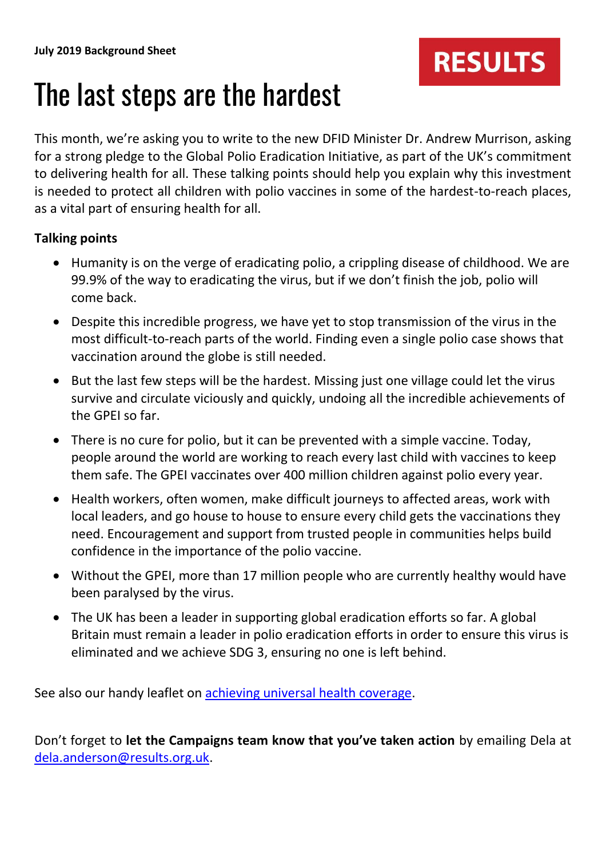

## The last steps are the hardest

This month, we're asking you to write to the new DFID Minister Dr. Andrew Murrison, asking for a strong pledge to the Global Polio Eradication Initiative, as part of the UK's commitment to delivering health for all. These talking points should help you explain why this investment is needed to protect all children with polio vaccines in some of the hardest-to-reach places, as a vital part of ensuring health for all.

## **Talking points**

- Humanity is on the verge of eradicating polio, a crippling disease of childhood. We are 99.9% of the way to eradicating the virus, but if we don't finish the job, polio will come back.
- Despite this incredible progress, we have yet to stop transmission of the virus in the most difficult-to-reach parts of the world. Finding even a single polio case shows that vaccination around the globe is still needed.
- But the last few steps will be the hardest. Missing just one village could let the virus survive and circulate viciously and quickly, undoing all the incredible achievements of the GPEI so far.
- There is no cure for polio, but it can be prevented with a simple vaccine. Today, people around the world are working to reach every last child with vaccines to keep them safe. The GPEI vaccinates over 400 million children against polio every year.
- Health workers, often women, make difficult journeys to affected areas, work with local leaders, and go house to house to ensure every child gets the vaccinations they need. Encouragement and support from trusted people in communities helps build confidence in the importance of the polio vaccine.
- Without the GPEI, more than 17 million people who are currently healthy would have been paralysed by the virus.
- The UK has been a leader in supporting global eradication efforts so far. A global Britain must remain a leader in polio eradication efforts in order to ensure this virus is eliminated and we achieve SDG 3, ensuring no one is left behind.

See also our handy leaflet on **achieving universal health coverage**.

Don't forget to **let the Campaigns team know that you've taken action** by emailing Dela at [dela.anderson@results.org.uk.](mailto:dela.anderson@results.org.uk)